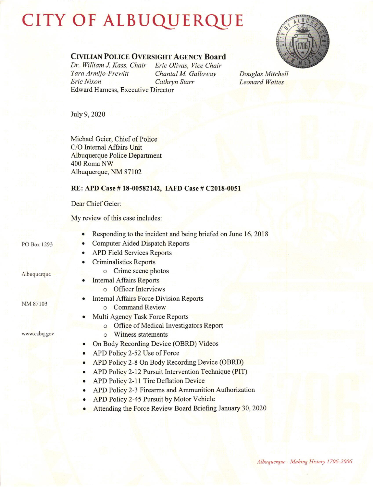## CITY OF ALBUQUERQUE



## CIVILIAN POLICE OVERSIGHT AGENCY Board

Dr. William J. Kass, Chair Eric Olivas, Vice Chair<br>Tara Armijo-Prewitt Chantal M. Galloway Tara Armijo-Prewitt<br>Eric Nixon Cathryn Starr Edward Hamess, Executive Director

Douglas Mitchell Leonard Waites

July 9, 2020

Michael Geier, Chief of Police C/O Intemal Affairs Unit Albuquerque Police Department 400 Roma NW Albuquerque, NM 87102

## RE: APD Case # 18-00582142, IAFD Case # C2018-0051

Dear Chief Geier:

My review of this case includes:

|                         | Responding to the incident and being briefed on June 16, 2018     |
|-------------------------|-------------------------------------------------------------------|
| PO Box 1293             | <b>Computer Aided Dispatch Reports</b>                            |
|                         | <b>APD Field Services Reports</b>                                 |
| Albuquerque<br>NM 87103 | <b>Criminalistics Reports</b>                                     |
|                         | o Crime scene photos                                              |
|                         | <b>Internal Affairs Reports</b>                                   |
|                         | o Officer Interviews                                              |
|                         | <b>Internal Affairs Force Division Reports</b>                    |
|                         | <b>Command Review</b><br>$\circ$                                  |
|                         | Multi Agency Task Force Reports                                   |
|                         | Office of Medical Investigators Report<br>$\circ$                 |
| www.cabq.gov            | Witness statements<br>$\Omega$                                    |
|                         | On Body Recording Device (OBRD) Videos<br>$\bullet$               |
|                         | APD Policy 2-52 Use of Force<br>$\bullet$                         |
|                         | APD Policy 2-8 On Body Recording Device (OBRD)                    |
|                         | APD Policy 2-12 Pursuit Intervention Technique (PIT)<br>$\bullet$ |
|                         | APD Policy 2-11 Tire Deflation Device<br>$\bullet$                |
|                         | APD Policy 2-3 Firearms and Ammunition Authorization              |
|                         | APD Policy 2-45 Pursuit by Motor Vehicle                          |
|                         | Attending the Force Review Board Briefing January 30, 2020        |
|                         |                                                                   |